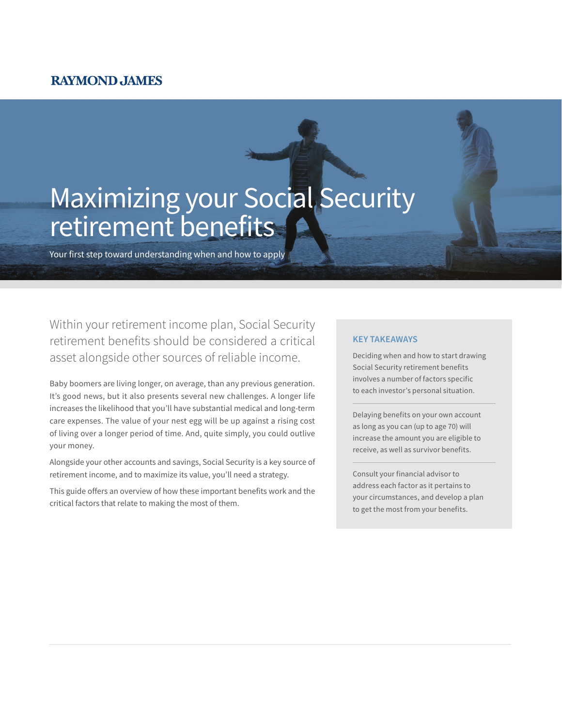# **RAYMOND JAMES**

# Maximizing your Social Security retirement benefits

Your first step toward understanding when and how to apply

Within your retirement income plan, Social Security retirement benefits should be considered a critical asset alongside other sources of reliable income.

Baby boomers are living longer, on average, than any previous generation. It's good news, but it also presents several new challenges. A longer life increases the likelihood that you'll have substantial medical and long-term care expenses. The value of your nest egg will be up against a rising cost of living over a longer period of time. And, quite simply, you could outlive your money.

Alongside your other accounts and savings, Social Security is a key source of retirement income, and to maximize its value, you'll need a strategy.

This guide offers an overview of how these important benefits work and the critical factors that relate to making the most of them.

### **KEY TAKEAWAYS**

Deciding when and how to start drawing Social Security retirement benefits involves a number of factors specific to each investor's personal situation.

Delaying benefits on your own account as long as you can (up to age 70) will increase the amount you are eligible to receive, as well as survivor benefits.

Consult your financial advisor to address each factor as it pertains to your circumstances, and develop a plan to get the most from your benefits.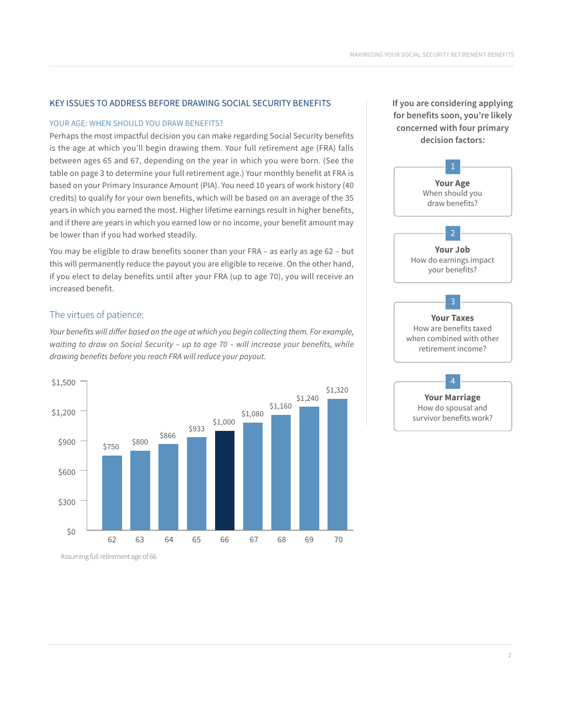# KEY ISSUES TO ADDRESS BEFORE DRAWING SOCIAL SECURITY BENEFITS

#### YOUR AGE: WHEN SHOULD YOU DRAW BENEFITS?

Perhaps the most impactful decision you can make regarding Social Security benefits is the age at which you'll begin drawing them. Your full retirement age (FRA) falls between ages 65 and 67, depending on the year in which you were born. (See the table on page 3 to determine your full retirement age.) Your monthly benefit at FRA is based on your Primary Insurance Amount (PIA). You need 10 years of work history (40 credits) to qualify for your own benefits, which will be based on an average of the 35 years in which you earned the most. Higher lifetime earnings result in higher benefits, and if there are years in which you earned low or no income, your benefit amount may be lower than if you had worked steadily.

You may be eligible to draw benefits sooner than your FRA – as early as age 62 – but this will permanently reduce the payout you are eligible to receive. On the other hand, if you elect to delay benefits until after your FRA (up to age 70), you will receive an increased benefit.

# The virtues of patience:

*Your benefits will differ based on the age at which you begin collecting them. For example, waiting to draw on Social Security – up to age 70 – will increase your benefits, while drawing benefits before you reach FRA will reduce your payout.*



**If you are considering applying for benefits soon, you're likely concerned with four primary decision factors:**



Assuming full retirement age of 66.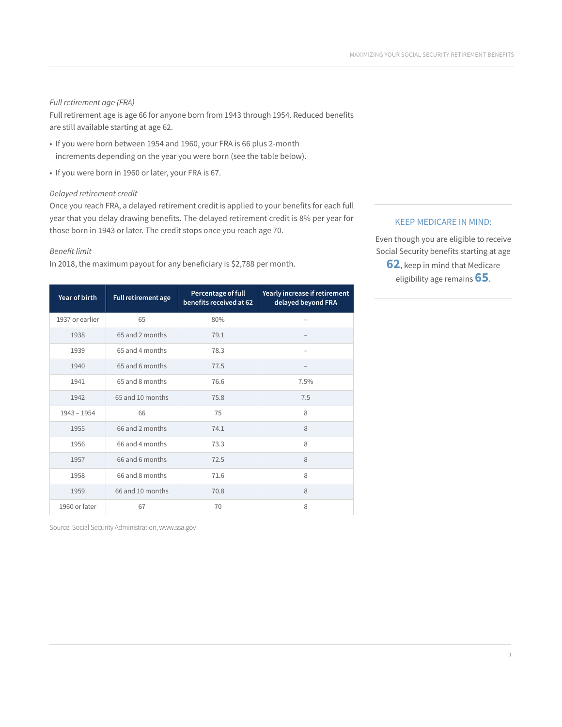# *Full retirement age (FRA)*

Full retirement age is age 66 for anyone born from 1943 through 1954. Reduced benefits are still available starting at age 62.

- If you were born between 1954 and 1960, your FRA is 66 plus 2-month increments depending on the year you were born (see the table below).
- If you were born in 1960 or later, your FRA is 67.

#### *Delayed retirement credit*

Once you reach FRA, a delayed retirement credit is applied to your benefits for each full year that you delay drawing benefits. The delayed retirement credit is 8% per year for those born in 1943 or later. The credit stops once you reach age 70.

#### *Benefit limit*

In 2018, the maximum payout for any beneficiary is \$2,788 per month.

| Year of birth   | Full retirement age | Percentage of full<br>benefits received at 62 | Yearly increase if retirement<br>delayed beyond FRA |
|-----------------|---------------------|-----------------------------------------------|-----------------------------------------------------|
| 1937 or earlier | 65                  | 80%                                           |                                                     |
| 1938            | 65 and 2 months     | 79.1                                          |                                                     |
| 1939            | 65 and 4 months     | 78.3                                          |                                                     |
| 1940            | 65 and 6 months     | 77.5                                          |                                                     |
| 1941            | 65 and 8 months     | 76.6                                          | 7.5%                                                |
| 1942            | 65 and 10 months    | 75.8                                          | 7.5                                                 |
| $1943 - 1954$   | 66                  | 75                                            | $\mathcal{R}$                                       |
| 1955            | 66 and 2 months     | 74.1                                          | 8                                                   |
| 1956            | 66 and 4 months     | 73.3                                          | 8                                                   |
| 1957            | 66 and 6 months     | 72.5                                          | $\mathcal{R}$                                       |
| 1958            | 66 and 8 months     | 71.6                                          | 8                                                   |
| 1959            | 66 and 10 months    | 70.8                                          | 8                                                   |
| 1960 or later   | 67                  | 70                                            | 8                                                   |

Source: Social Security Administration, www.ssa.gov

# KEEP MEDICARE IN MIND:

Even though you are eligible to receive Social Security benefits starting at age **62**, keep in mind that Medicare eligibility age remains **65**.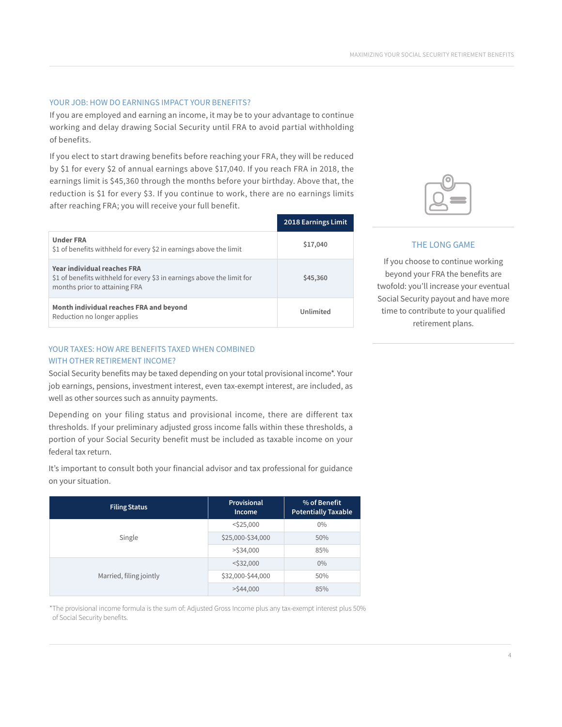# YOUR JOB: HOW DO EARNINGS IMPACT YOUR BENEFITS?

If you are employed and earning an income, it may be to your advantage to continue working and delay drawing Social Security until FRA to avoid partial withholding of benefits.

If you elect to start drawing benefits before reaching your FRA, they will be reduced by \$1 for every \$2 of annual earnings above \$17,040. If you reach FRA in 2018, the earnings limit is \$45,360 through the months before your birthday. Above that, the reduction is \$1 for every \$3. If you continue to work, there are no earnings limits after reaching FRA; you will receive your full benefit.

|                                                                                                                                               | 2018 Earnings Limit |
|-----------------------------------------------------------------------------------------------------------------------------------------------|---------------------|
| <b>Under FRA</b><br>\$1 of benefits withheld for every \$2 in earnings above the limit                                                        | \$17,040            |
| <b>Year individual reaches FRA</b><br>\$1 of benefits withheld for every \$3 in earnings above the limit for<br>months prior to attaining FRA | \$45,360            |
| Month individual reaches FRA and beyond<br>Reduction no longer applies                                                                        | Unlimited           |

# YOUR TAXES: HOW ARE BENEFITS TAXED WHEN COMBINED WITH OTHER RETIREMENT INCOME?

Social Security benefits may be taxed depending on your total provisional income\*. Your job earnings, pensions, investment interest, even tax-exempt interest, are included, as well as other sources such as annuity payments.

Depending on your filing status and provisional income, there are different tax thresholds. If your preliminary adjusted gross income falls within these thresholds, a portion of your Social Security benefit must be included as taxable income on your federal tax return.

It's important to consult both your financial advisor and tax professional for guidance on your situation.

| <b>Filing Status</b>    | Provisional<br><b>Income</b> | % of Benefit<br><b>Potentially Taxable</b> |
|-------------------------|------------------------------|--------------------------------------------|
|                         | $<$ \$25,000                 | $0\%$                                      |
| Single                  | \$25,000-\$34,000            | 50%                                        |
|                         | $>$ \$34,000                 | 85%                                        |
|                         | $<$ \$32,000                 | $0\%$                                      |
| Married, filing jointly | \$32,000-\$44,000            | 50%                                        |
|                         | $>$ \$44,000                 | 85%                                        |

\*The provisional income formula is the sum of: Adjusted Gross Income plus any tax-exempt interest plus 50% of Social Security benefits.



# THE LONG GAME

If you choose to continue working beyond your FRA the benefits are twofold: you'll increase your eventual Social Security payout and have more time to contribute to your qualified retirement plans.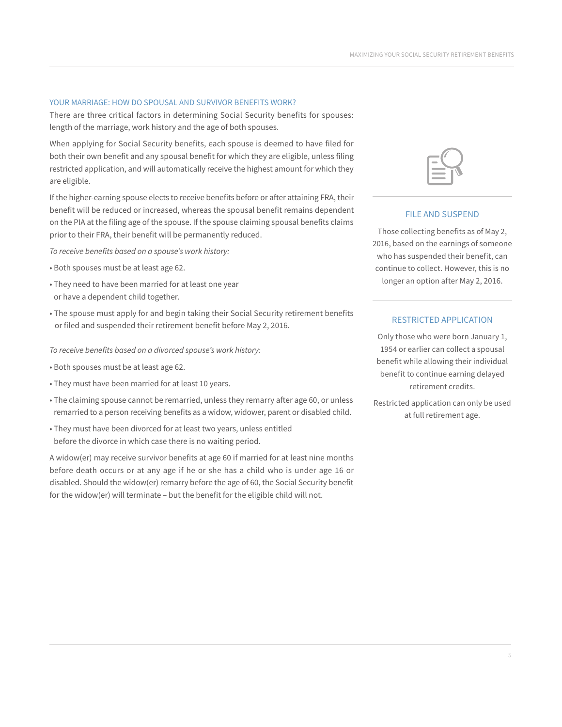#### YOUR MARRIAGE: HOW DO SPOUSAL AND SURVIVOR BENEFITS WORK?

There are three critical factors in determining Social Security benefits for spouses: length of the marriage, work history and the age of both spouses.

When applying for Social Security benefits, each spouse is deemed to have filed for both their own benefit and any spousal benefit for which they are eligible, unless filing restricted application, and will automatically receive the highest amount for which they are eligible.

If the higher-earning spouse elects to receive benefits before or after attaining FRA, their benefit will be reduced or increased, whereas the spousal benefit remains dependent on the PIA at the filing age of the spouse. If the spouse claiming spousal benefits claims prior to their FRA, their benefit will be permanently reduced.

*To receive benefits based on a spouse's work history:* 

- Both spouses must be at least age 62.
- They need to have been married for at least one year or have a dependent child together.
- The spouse must apply for and begin taking their Social Security retirement benefits or filed and suspended their retirement benefit before May 2, 2016.

#### *To receive benefits based on a divorced spouse's work history:*

- Both spouses must be at least age 62.
- They must have been married for at least 10 years.
- The claiming spouse cannot be remarried, unless they remarry after age 60, or unless remarried to a person receiving benefits as a widow, widower, parent or disabled child.
- They must have been divorced for at least two years, unless entitled before the divorce in which case there is no waiting period.

A widow(er) may receive survivor benefits at age 60 if married for at least nine months before death occurs or at any age if he or she has a child who is under age 16 or disabled. Should the widow(er) remarry before the age of 60, the Social Security benefit for the widow(er) will terminate – but the benefit for the eligible child will not.

#### FILE AND SUSPEND

Those collecting benefits as of May 2, 2016, based on the earnings of someone who has suspended their benefit, can continue to collect. However, this is no longer an option after May 2, 2016.

#### RESTRICTED APPLICATION

Only those who were born January 1, 1954 or earlier can collect a spousal benefit while allowing their individual benefit to continue earning delayed retirement credits.

Restricted application can only be used at full retirement age.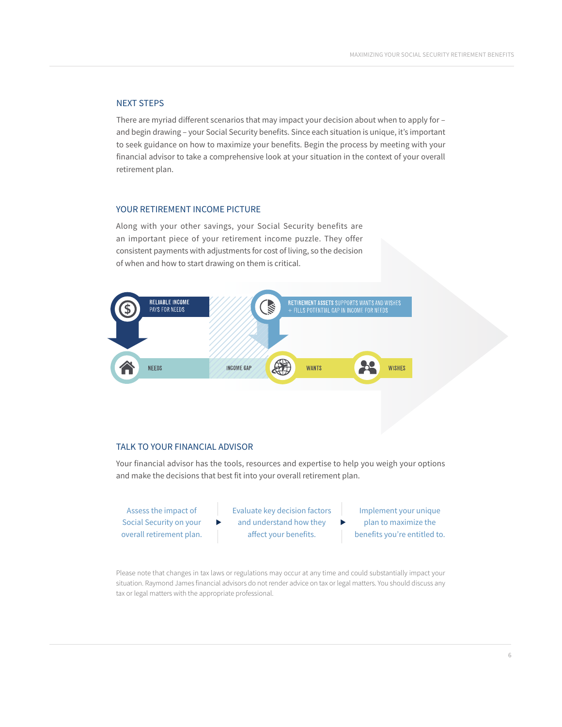# NEXT STEPS

There are myriad different scenarios that may impact your decision about when to apply for – and begin drawing – your Social Security benefits. Since each situation is unique, it's important to seek guidance on how to maximize your benefits. Begin the process by meeting with your financial advisor to take a comprehensive look at your situation in the context of your overall retirement plan.

# YOUR RETIREMENT INCOME PICTURE

Along with your other savings, your Social Security benefits are an important piece of your retirement income puzzle. They offer consistent payments with adjustments for cost of living, so the decision of when and how to start drawing on them is critical.



# TALK TO YOUR FINANCIAL ADVISOR

▶

Your financial advisor has the tools, resources and expertise to help you weigh your options and make the decisions that best fit into your overall retirement plan.

Assess the impact of Social Security on your overall retirement plan. Evaluate key decision factors and understand how they affect your benefits.

Implement your unique plan to maximize the benefits you're entitled to.

▶

Please note that changes in tax laws or regulations may occur at any time and could substantially impact your situation. Raymond James financial advisors do not render advice on tax or legal matters. You should discuss any tax or legal matters with the appropriate professional.